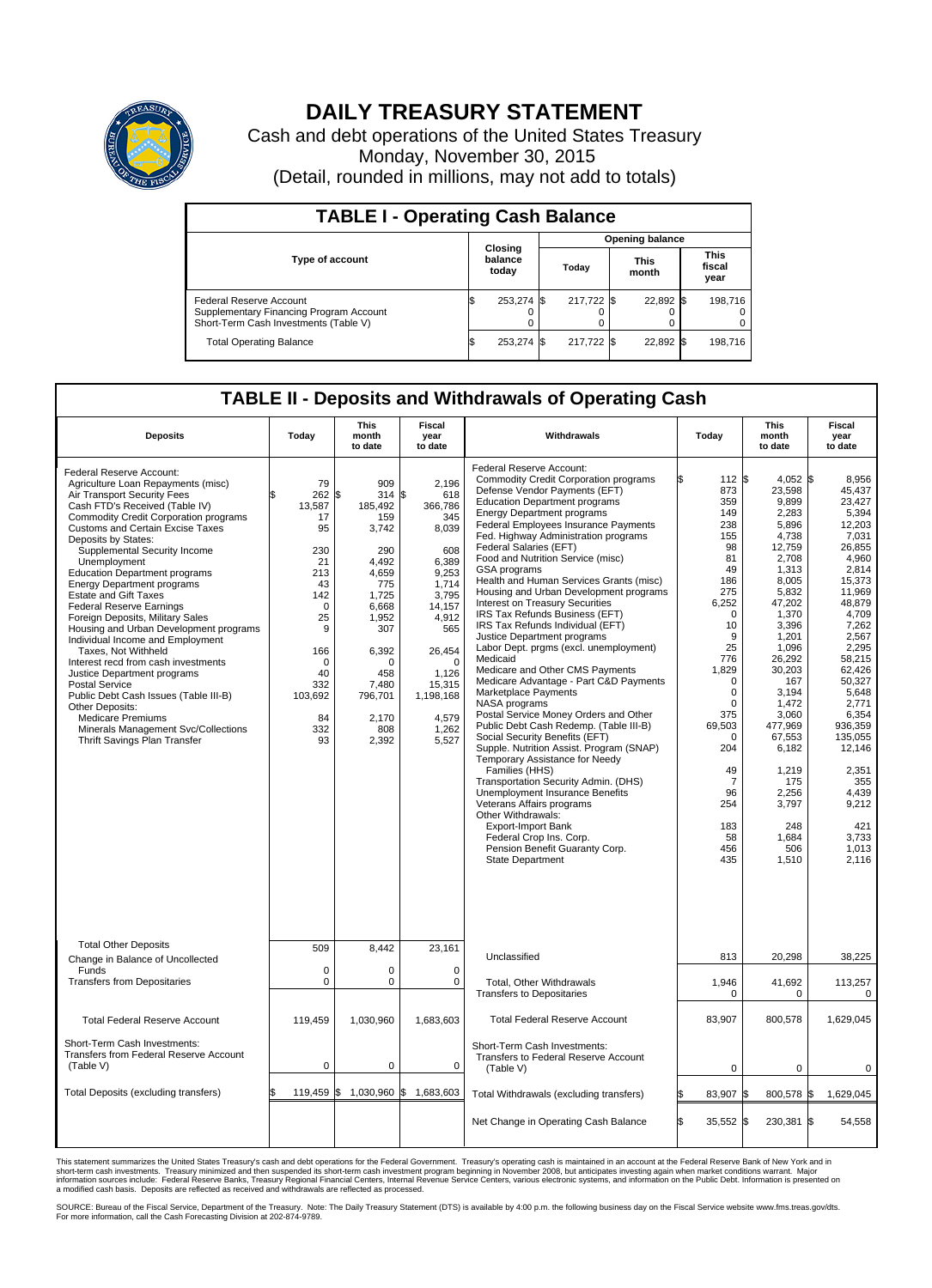

## **DAILY TREASURY STATEMENT**

Cash and debt operations of the United States Treasury Monday, November 30, 2015 (Detail, rounded in millions, may not add to totals)

| <b>TABLE I - Operating Cash Balance</b>                                                                     |                             |            |       |                        |                      |           |                               |         |  |  |  |
|-------------------------------------------------------------------------------------------------------------|-----------------------------|------------|-------|------------------------|----------------------|-----------|-------------------------------|---------|--|--|--|
|                                                                                                             |                             |            |       | <b>Opening balance</b> |                      |           |                               |         |  |  |  |
| Type of account                                                                                             | Closing<br>balance<br>today |            | Today |                        | <b>This</b><br>month |           | <b>This</b><br>fiscal<br>year |         |  |  |  |
| Federal Reserve Account<br>Supplementary Financing Program Account<br>Short-Term Cash Investments (Table V) |                             | 253,274 \$ |       | 217.722 \$             |                      | 22,892 \$ |                               | 198.716 |  |  |  |
| <b>Total Operating Balance</b>                                                                              |                             | 253,274 \$ |       | 217,722 \$             |                      | 22,892 \$ |                               | 198,716 |  |  |  |

## **TABLE II - Deposits and Withdrawals of Operating Cash**

| <b>Deposits</b>                                                                                                                                                                                                                                                                                                                                                                                                                                                                                                                                                                                                                                                                                                                                                                                                                                                 | Today                                                                                                                                                          | This<br>month<br>to date                                                                                                                                                                 | Fiscal<br>year<br>to date                                                                                                                                                                     | Withdrawals                                                                                                                                                                                                                                                                                                                                                                                                                                                                                                                                                                                                                                                                                                                                                                                                                                                                                                                                                                                                                                                                                                                                                                                                                                          | Today                                                                                                                                                                                      | <b>This</b><br>month<br>to date                                                                                                                                                                                                                                                                                                                                              | Fiscal<br>year<br>to date                                                                                                                                                                                                                                                                                        |
|-----------------------------------------------------------------------------------------------------------------------------------------------------------------------------------------------------------------------------------------------------------------------------------------------------------------------------------------------------------------------------------------------------------------------------------------------------------------------------------------------------------------------------------------------------------------------------------------------------------------------------------------------------------------------------------------------------------------------------------------------------------------------------------------------------------------------------------------------------------------|----------------------------------------------------------------------------------------------------------------------------------------------------------------|------------------------------------------------------------------------------------------------------------------------------------------------------------------------------------------|-----------------------------------------------------------------------------------------------------------------------------------------------------------------------------------------------|------------------------------------------------------------------------------------------------------------------------------------------------------------------------------------------------------------------------------------------------------------------------------------------------------------------------------------------------------------------------------------------------------------------------------------------------------------------------------------------------------------------------------------------------------------------------------------------------------------------------------------------------------------------------------------------------------------------------------------------------------------------------------------------------------------------------------------------------------------------------------------------------------------------------------------------------------------------------------------------------------------------------------------------------------------------------------------------------------------------------------------------------------------------------------------------------------------------------------------------------------|--------------------------------------------------------------------------------------------------------------------------------------------------------------------------------------------|------------------------------------------------------------------------------------------------------------------------------------------------------------------------------------------------------------------------------------------------------------------------------------------------------------------------------------------------------------------------------|------------------------------------------------------------------------------------------------------------------------------------------------------------------------------------------------------------------------------------------------------------------------------------------------------------------|
| <b>Federal Reserve Account:</b><br>Agriculture Loan Repayments (misc)<br>Air Transport Security Fees<br>Cash FTD's Received (Table IV)<br><b>Commodity Credit Corporation programs</b><br><b>Customs and Certain Excise Taxes</b><br>Deposits by States:<br>Supplemental Security Income<br>Unemployment<br><b>Education Department programs</b><br><b>Energy Department programs</b><br><b>Estate and Gift Taxes</b><br><b>Federal Reserve Earnings</b><br>Foreign Deposits, Military Sales<br>Housing and Urban Development programs<br>Individual Income and Employment<br>Taxes, Not Withheld<br>Interest recd from cash investments<br>Justice Department programs<br><b>Postal Service</b><br>Public Debt Cash Issues (Table III-B)<br>Other Deposits:<br><b>Medicare Premiums</b><br>Minerals Management Svc/Collections<br>Thrift Savings Plan Transfer | 79<br>262<br>\$<br>13,587<br>17<br>95<br>230<br>21<br>213<br>43<br>142<br>$\Omega$<br>25<br>9<br>166<br>$\mathbf 0$<br>40<br>332<br>103,692<br>84<br>332<br>93 | 909<br>l\$<br>314S<br>185,492<br>159<br>3,742<br>290<br>4.492<br>4,659<br>775<br>1,725<br>6,668<br>1,952<br>307<br>6,392<br>$\Omega$<br>458<br>7.480<br>796,701<br>2.170<br>808<br>2,392 | 2,196<br>618<br>366,786<br>345<br>8,039<br>608<br>6,389<br>9,253<br>1,714<br>3,795<br>14,157<br>4,912<br>565<br>26,454<br>$\Omega$<br>1,126<br>15,315<br>1,198,168<br>4,579<br>1,262<br>5,527 | Federal Reserve Account:<br><b>Commodity Credit Corporation programs</b><br>Defense Vendor Payments (EFT)<br><b>Education Department programs</b><br><b>Energy Department programs</b><br><b>Federal Employees Insurance Payments</b><br>Fed. Highway Administration programs<br>Federal Salaries (EFT)<br>Food and Nutrition Service (misc)<br>GSA programs<br>Health and Human Services Grants (misc)<br>Housing and Urban Development programs<br>Interest on Treasury Securities<br>IRS Tax Refunds Business (EFT)<br>IRS Tax Refunds Individual (EFT)<br>Justice Department programs<br>Labor Dept. prgms (excl. unemployment)<br>Medicaid<br>Medicare and Other CMS Payments<br>Medicare Advantage - Part C&D Payments<br>Marketplace Payments<br>NASA programs<br>Postal Service Money Orders and Other<br>Public Debt Cash Redemp. (Table III-B)<br>Social Security Benefits (EFT)<br>Supple. Nutrition Assist. Program (SNAP)<br>Temporary Assistance for Needy<br>Families (HHS)<br>Transportation Security Admin. (DHS)<br><b>Unemployment Insurance Benefits</b><br>Veterans Affairs programs<br>Other Withdrawals:<br><b>Export-Import Bank</b><br>Federal Crop Ins. Corp.<br>Pension Benefit Guaranty Corp.<br><b>State Department</b> | \$<br>873<br>359<br>149<br>238<br>155<br>98<br>81<br>49<br>186<br>275<br>6,252<br>10<br>9<br>25<br>776<br>1,829<br>375<br>69,503<br>204<br>49<br>7<br>96<br>254<br>183<br>58<br>456<br>435 | 112 \$<br>$4,052$ \$<br>23,598<br>9,899<br>2,283<br>5.896<br>4,738<br>12,759<br>2,708<br>1.313<br>8,005<br>5,832<br>47,202<br>1,370<br>$\Omega$<br>3,396<br>1,201<br>1,096<br>26.292<br>30,203<br>$\mathbf 0$<br>167<br>0<br>3,194<br>$\Omega$<br>1,472<br>3,060<br>477.969<br>67,553<br>$\Omega$<br>6,182<br>1.219<br>175<br>2,256<br>3,797<br>248<br>1,684<br>506<br>1,510 | 8,956<br>45.437<br>23,427<br>5,394<br>12,203<br>7,031<br>26.855<br>4,960<br>2.814<br>15,373<br>11,969<br>48,879<br>4,709<br>7,262<br>2,567<br>2,295<br>58.215<br>62,426<br>50,327<br>5,648<br>2,771<br>6,354<br>936.359<br>135,055<br>12,146<br>2.351<br>355<br>4,439<br>9,212<br>421<br>3,733<br>1,013<br>2,116 |
| <b>Total Other Deposits</b><br>Change in Balance of Uncollected                                                                                                                                                                                                                                                                                                                                                                                                                                                                                                                                                                                                                                                                                                                                                                                                 | 509                                                                                                                                                            | 8.442                                                                                                                                                                                    | 23,161                                                                                                                                                                                        | Unclassified                                                                                                                                                                                                                                                                                                                                                                                                                                                                                                                                                                                                                                                                                                                                                                                                                                                                                                                                                                                                                                                                                                                                                                                                                                         | 813                                                                                                                                                                                        | 20.298                                                                                                                                                                                                                                                                                                                                                                       | 38,225                                                                                                                                                                                                                                                                                                           |
| Funds<br><b>Transfers from Depositaries</b>                                                                                                                                                                                                                                                                                                                                                                                                                                                                                                                                                                                                                                                                                                                                                                                                                     | $\mathbf 0$<br>$\mathbf 0$                                                                                                                                     | 0<br>0                                                                                                                                                                                   | $\mathbf 0$<br>$\Omega$                                                                                                                                                                       | Total, Other Withdrawals<br><b>Transfers to Depositaries</b>                                                                                                                                                                                                                                                                                                                                                                                                                                                                                                                                                                                                                                                                                                                                                                                                                                                                                                                                                                                                                                                                                                                                                                                         | 1,946                                                                                                                                                                                      | 41,692<br>$\mathbf 0$<br>0                                                                                                                                                                                                                                                                                                                                                   | 113,257<br>0                                                                                                                                                                                                                                                                                                     |
| <b>Total Federal Reserve Account</b>                                                                                                                                                                                                                                                                                                                                                                                                                                                                                                                                                                                                                                                                                                                                                                                                                            | 119,459                                                                                                                                                        | 1,030,960                                                                                                                                                                                | 1,683,603                                                                                                                                                                                     | <b>Total Federal Reserve Account</b>                                                                                                                                                                                                                                                                                                                                                                                                                                                                                                                                                                                                                                                                                                                                                                                                                                                                                                                                                                                                                                                                                                                                                                                                                 | 83,907                                                                                                                                                                                     | 800,578                                                                                                                                                                                                                                                                                                                                                                      | 1,629,045                                                                                                                                                                                                                                                                                                        |
| Short-Term Cash Investments:<br>Transfers from Federal Reserve Account<br>(Table V)                                                                                                                                                                                                                                                                                                                                                                                                                                                                                                                                                                                                                                                                                                                                                                             | $\pmb{0}$                                                                                                                                                      | 0                                                                                                                                                                                        | $\mathbf 0$                                                                                                                                                                                   | Short-Term Cash Investments:<br>Transfers to Federal Reserve Account<br>(Table V)                                                                                                                                                                                                                                                                                                                                                                                                                                                                                                                                                                                                                                                                                                                                                                                                                                                                                                                                                                                                                                                                                                                                                                    |                                                                                                                                                                                            | 0<br>$\mathbf 0$                                                                                                                                                                                                                                                                                                                                                             | 0                                                                                                                                                                                                                                                                                                                |
| Total Deposits (excluding transfers)                                                                                                                                                                                                                                                                                                                                                                                                                                                                                                                                                                                                                                                                                                                                                                                                                            | \$<br>119,459 \$                                                                                                                                               |                                                                                                                                                                                          | 1,030,960 \$ 1,683,603                                                                                                                                                                        | Total Withdrawals (excluding transfers)                                                                                                                                                                                                                                                                                                                                                                                                                                                                                                                                                                                                                                                                                                                                                                                                                                                                                                                                                                                                                                                                                                                                                                                                              | 83,907                                                                                                                                                                                     | 800,578 \$<br>l\$                                                                                                                                                                                                                                                                                                                                                            | 1,629,045                                                                                                                                                                                                                                                                                                        |
|                                                                                                                                                                                                                                                                                                                                                                                                                                                                                                                                                                                                                                                                                                                                                                                                                                                                 |                                                                                                                                                                |                                                                                                                                                                                          |                                                                                                                                                                                               | Net Change in Operating Cash Balance                                                                                                                                                                                                                                                                                                                                                                                                                                                                                                                                                                                                                                                                                                                                                                                                                                                                                                                                                                                                                                                                                                                                                                                                                 | \$<br>35,552 \$                                                                                                                                                                            | 230,381 \$                                                                                                                                                                                                                                                                                                                                                                   | 54,558                                                                                                                                                                                                                                                                                                           |

This statement summarizes the United States Treasury's cash and debt operations for the Federal Government. Treasury's operating cash is maintained in an account at the Federal Reserve Bank of New York and in<br>short-term ca

SOURCE: Bureau of the Fiscal Service, Department of the Treasury. Note: The Daily Treasury Statement (DTS) is available by 4:00 p.m. the following business day on the Fiscal Service website www.fms.treas.gov/dts.<br>For more